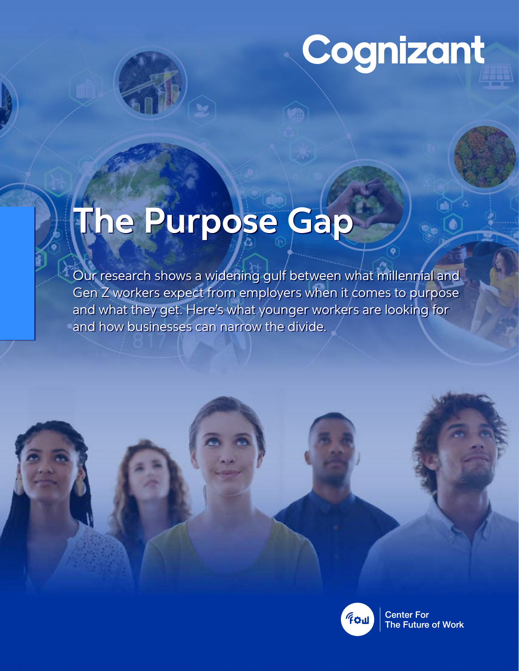# Cognizant

# **The Purpose Gap**

Our research shows a widening gulf between what millennial and Gen Z workers expect from employers when it comes to purpose and what they get. Here's what younger workers are looking for and how businesses can narrow the divide.



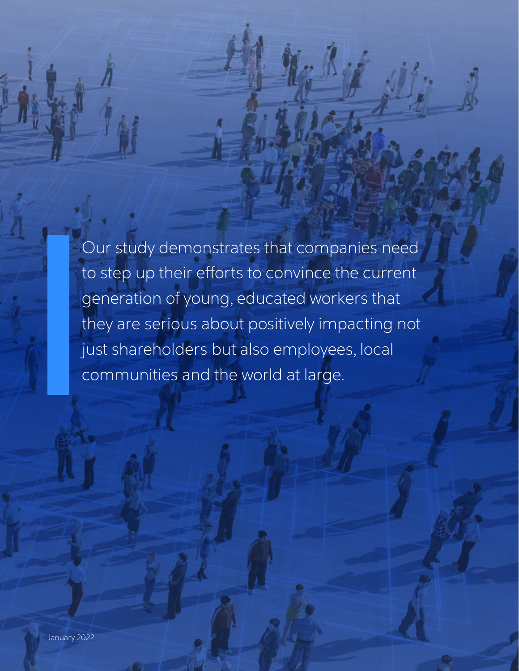Our study demonstrates that companies need to step up their efforts to convince the current generation of young, educated workers that they are serious about positively impacting not just shareholders but also employees, local communities and the world at large.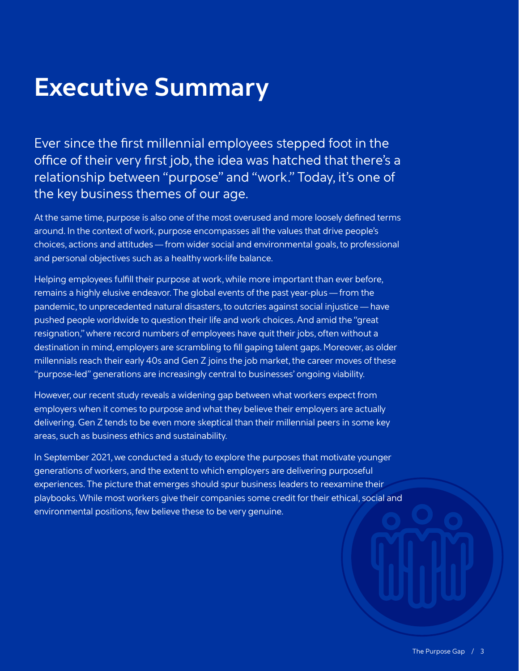# **Executive Summary**

Ever since the first millennial employees stepped foot in the office of their very first job, the idea was hatched that there's a relationship between "purpose" and "work." Today, it's one of the key business themes of our age.

At the same time, purpose is also one of the most overused and more loosely defined terms around. In the context of work, purpose encompasses all the values that drive people's choices, actions and attitudes — from wider social and environmental goals, to professional and personal objectives such as a healthy work-life balance.

Helping employees fulfill their purpose at work, while more important than ever before, remains a highly elusive endeavor. The global events of the past year-plus — from the pandemic, to unprecedented natural disasters, to outcries against social injustice — have pushed people worldwide to question their life and work choices. And amid the "great resignation," where record numbers of employees have quit their jobs, often without a destination in mind, employers are scrambling to fill gaping talent gaps. Moreover, as older millennials reach their early 40s and Gen Z joins the job market, the career moves of these "purpose-led" generations are increasingly central to businesses' ongoing viability.

However, our recent study reveals a widening gap between what workers expect from employers when it comes to purpose and what they believe their employers are actually delivering. Gen Z tends to be even more skeptical than their millennial peers in some key areas, such as business ethics and sustainability.

In September 2021, we conducted a study to explore the purposes that motivate younger generations of workers, and the extent to which employers are delivering purposeful experiences. The picture that emerges should spur business leaders to reexamine their playbooks. While most workers give their companies some credit for their ethical, social and environmental positions, few believe these to be very genuine.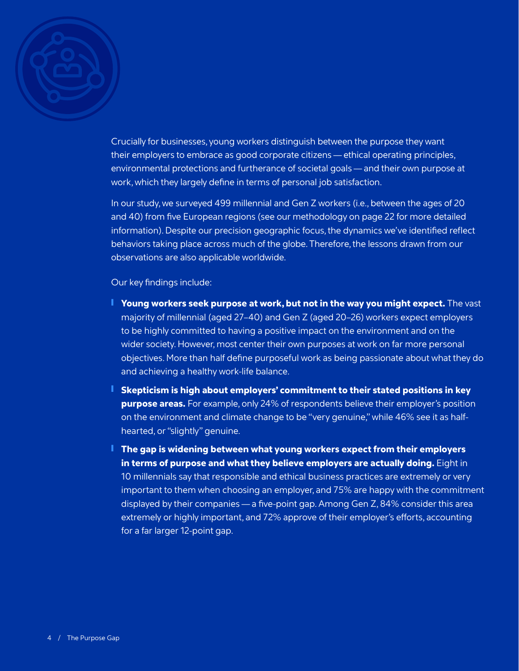

Crucially for businesses, young workers distinguish between the purpose they want their employers to embrace as good corporate citizens — ethical operating principles, environmental protections and furtherance of societal goals — and their own purpose at work, which they largely define in terms of personal job satisfaction.

In our study, we surveyed 499 millennial and Gen Z workers (i.e., between the ages of 20 and 40) from five European regions (see our methodology on page 22 for more detailed information). Despite our precision geographic focus, the dynamics we've identified reflect behaviors taking place across much of the globe. Therefore, the lessons drawn from our observations are also applicable worldwide.

Our key findings include:

- $\blacksquare$  Young workers seek purpose at work, but not in the way you might expect. The vast majority of millennial (aged 27–40) and Gen Z (aged 20–26) workers expect employers to be highly committed to having a positive impact on the environment and on the wider society. However, most center their own purposes at work on far more personal objectives. More than half define purposeful work as being passionate about what they do and achieving a healthy work-life balance.
- ❙ Skepticism is high about employers' commitment to their stated positions in key **purpose areas.** For example, only 24% of respondents believe their employer's position on the environment and climate change to be "very genuine," while 46% see it as halfhearted, or "slightly" genuine.
- $\blacksquare$  The gap is widening between what young workers expect from their employers in terms of purpose and what they believe employers are actually doing. Eight in 10 millennials say that responsible and ethical business practices are extremely or very important to them when choosing an employer, and 75% are happy with the commitment displayed by their companies — a five-point gap. Among Gen Z, 84% consider this area extremely or highly important, and 72% approve of their employer's efforts, accounting for a far larger 12-point gap.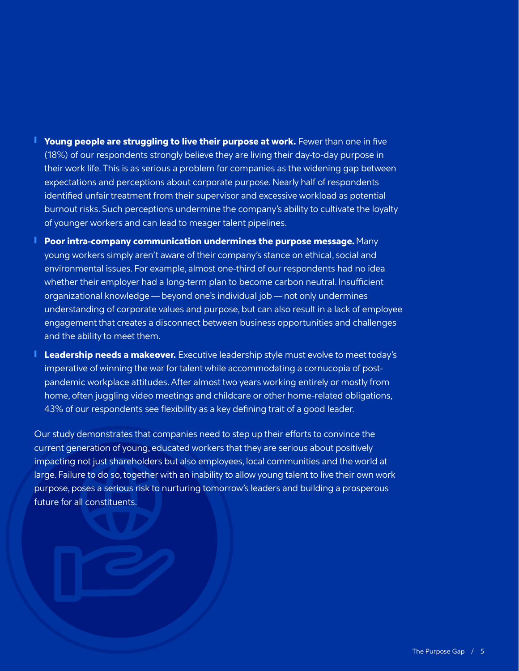- **I** Young people are struggling to live their purpose at work. Fewer than one in five (18%) of our respondents strongly believe they are living their day-to-day purpose in their work life. This is as serious a problem for companies as the widening gap between expectations and perceptions about corporate purpose. Nearly half of respondents identified unfair treatment from their supervisor and excessive workload as potential burnout risks. Such perceptions undermine the company's ability to cultivate the loyalty of younger workers and can lead to meager talent pipelines.
- $\blacksquare$  Poor intra-company communication undermines the purpose message. Many young workers simply aren't aware of their company's stance on ethical, social and environmental issues. For example, almost one-third of our respondents had no idea whether their employer had a long-term plan to become carbon neutral. Insufficient organizational knowledge — beyond one's individual job — not only undermines understanding of corporate values and purpose, but can also result in a lack of employee engagement that creates a disconnect between business opportunities and challenges and the ability to meet them.
- **Leadership needs a makeover.** Executive leadership style must evolve to meet today's imperative of winning the war for talent while accommodating a cornucopia of postpandemic workplace attitudes. After almost two years working entirely or mostly from home, often juggling video meetings and childcare or other home-related obligations, 43% of our respondents see flexibility as a key defining trait of a good leader.

Our study demonstrates that companies need to step up their efforts to convince the current generation of young, educated workers that they are serious about positively impacting not just shareholders but also employees, local communities and the world at large. Failure to do so, together with an inability to allow young talent to live their own work purpose, poses a serious risk to nurturing tomorrow's leaders and building a prosperous future for all constituents.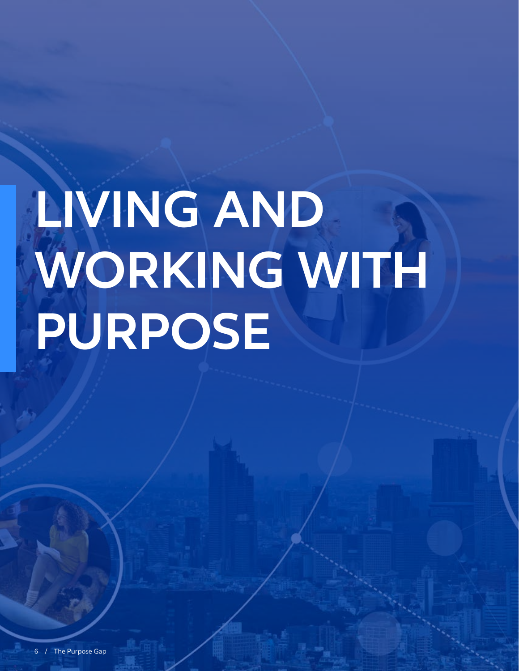# **LIVING AND WORKING WITH PURPOSE**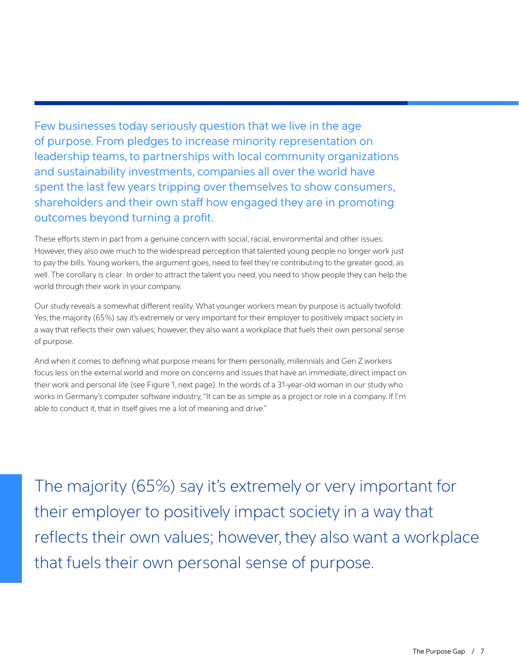Few businesses today seriously question that we live in the age of purpose. From pledges to increase minority representation on leadership teams, to partnerships with local community organizations and sustainability investments, companies all over the world have spent the last few years tripping over themselves to show consumers, shareholders and their own staff how engaged they are in promoting outcomes beyond turning a profit.

These efforts stem in part from a genuine concern with social, racial, environmental and other issues. However, they also owe much to the widespread perception that talented young people no longer work just to pay the bills. Young workers, the argument goes, need to feel they're contributing to the greater good, as well. The corollary is clear: In order to attract the talent you need, you need to show people they can help the world through their work in your company.

Our study reveals a somewhat different reality. What younger workers mean by purpose is actually twofold: Yes, the majority (65%) say it's extremely or very important for their employer to positively impact society in a way that reflects their own values; however, they also want a workplace that fuels their own personal sense of purpose.

And when it comes to defining what purpose means for them personally, millennials and Gen Z workers focus less on the external world and more on concerns and issues that have an immediate, direct impact on their work and personal life (see Figure 1, next page). In the words of a 31-year-old woman in our study who works in Germany's computer software industry, "It can be as simple as a project or role in a company. If I'm able to conduct it, that in itself gives me a lot of meaning and drive."

The majority (65%) say it's extremely or very important for their employer to positively impact society in a way that reflects their own values; however, they also want a workplace that fuels their own personal sense of purpose.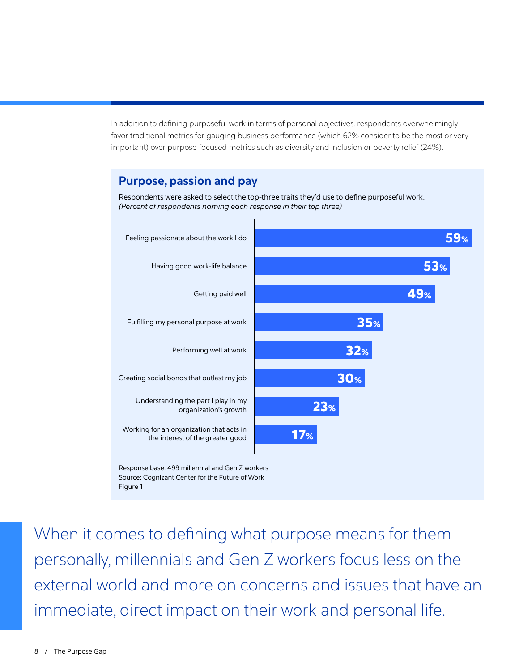In addition to defining purposeful work in terms of personal objectives, respondents overwhelmingly favor traditional metrics for gauging business performance (which 62% consider to be the most or very important) over purpose-focused metrics such as diversity and inclusion or poverty relief (24%).

### **Purpose, passion and pay**

Respondents were asked to select the top-three traits they'd use to define purposeful work. *(Percent of respondents naming each response in their top three)*



When it comes to defining what purpose means for them personally, millennials and Gen Z workers focus less on the external world and more on concerns and issues that have an immediate, direct impact on their work and personal life.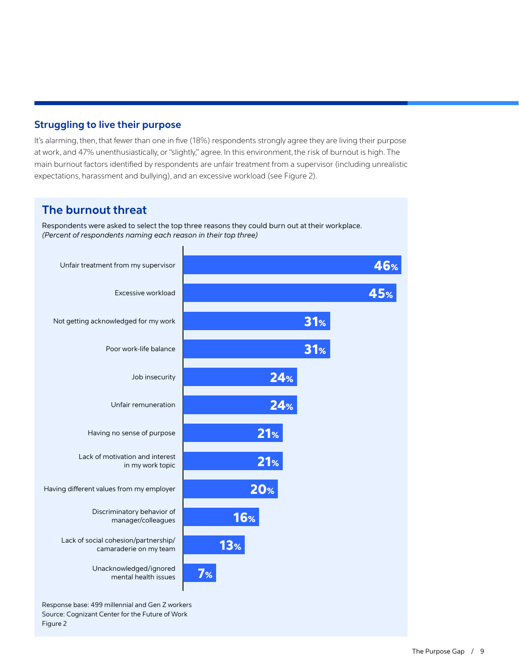### **Struggling to live their purpose**

It's alarming, then, that fewer than one in five (18%) respondents strongly agree they are living their purpose at work, and 47% unenthusiastically, or "slightly," agree. In this environment, the risk of burnout is high. The main burnout factors identified by respondents are unfair treatment from a supervisor (including unrealistic expectations, harassment and bullying), and an excessive workload (see Figure 2).

### **The burnout threat**

Respondents were asked to select the top three reasons they could burn out at their workplace. *(Percent of respondents naming each reason in their top three)* 



Response base: 499 millennial and Gen Z workers Source: Cognizant Center for the Future of Work Figure 2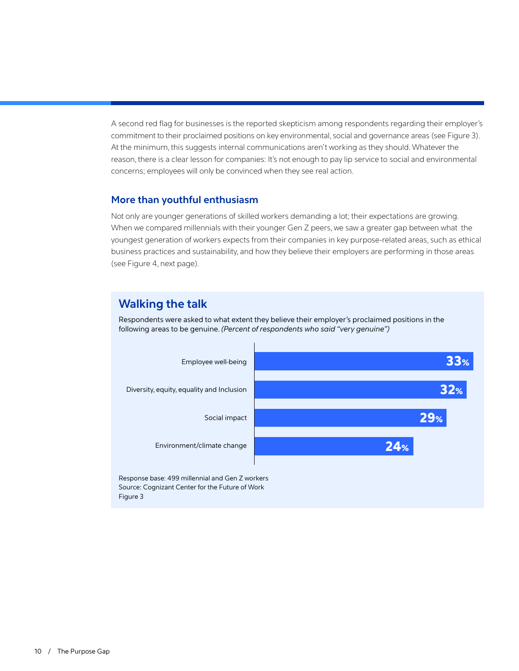A second red flag for businesses is the reported skepticism among respondents regarding their employer's commitment to their proclaimed positions on key environmental, social and governance areas (see Figure 3). At the minimum, this suggests internal communications aren't working as they should. Whatever the reason, there is a clear lesson for companies: It's not enough to pay lip service to social and environmental concerns; employees will only be convinced when they see real action.

### **More than youthful enthusiasm**

Not only are younger generations of skilled workers demanding a lot; their expectations are growing. When we compared millennials with their younger Gen Z peers, we saw a greater gap between what the youngest generation of workers expects from their companies in key purpose-related areas, such as ethical business practices and sustainability, and how they believe their employers are performing in those areas (see Figure 4, next page).

### **Walking the talk**

Respondents were asked to what extent they believe their employer's proclaimed positions in the following areas to be genuine. *(Percent of respondents who said "very genuine")*

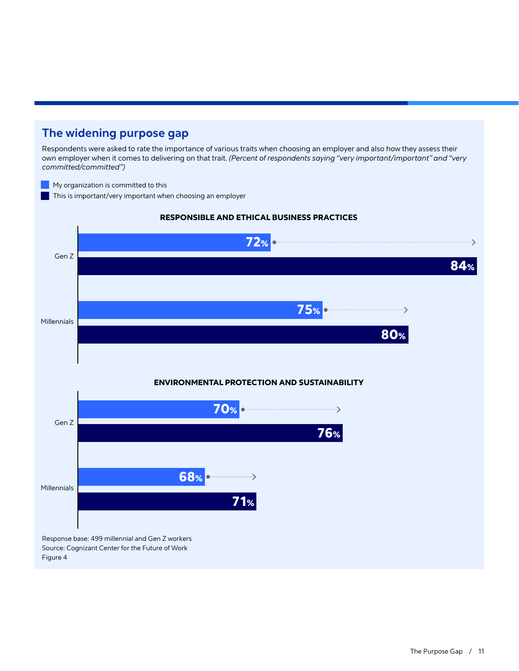### **The widening purpose gap**

Respondents were asked to rate the importance of various traits when choosing an employer and also how they assess their own employer when it comes to delivering on that trait. *(Percent of respondents saying "very important/important" and "very committed/committed")*

**My organization is committed to this** 

**This is important/very important when choosing an employer** 



### RESPONSIBLE AND ETHICAL BUSINESS PRACTICES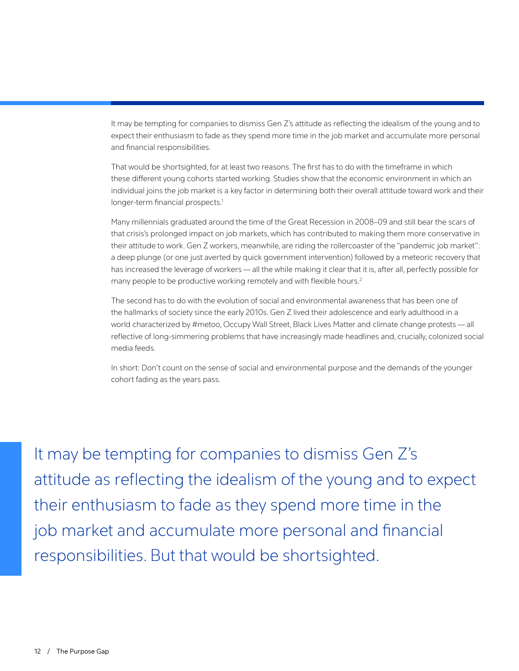It may be tempting for companies to dismiss Gen Z's attitude as reflecting the idealism of the young and to expect their enthusiasm to fade as they spend more time in the job market and accumulate more personal and financial responsibilities.

That would be shortsighted, for at least two reasons. The first has to do with the timeframe in which these different young cohorts started working. Studies show that the economic environment in which an individual joins the job market is a key factor in determining both their overall attitude toward work and their longer-term financial prospects.<sup>1</sup>

Many millennials graduated around the time of the Great Recession in 2008–09 and still bear the scars of that crisis's prolonged impact on job markets, which has contributed to making them more conservative in their attitude to work. Gen Z workers, meanwhile, are riding the rollercoaster of the "pandemic job market": a deep plunge (or one just averted by quick government intervention) followed by a meteoric recovery that has increased the leverage of workers — all the while making it clear that it is, after all, perfectly possible for many people to be productive working remotely and with flexible hours.<sup>2</sup>

The second has to do with the evolution of social and environmental awareness that has been one of the hallmarks of society since the early 2010s. Gen Z lived their adolescence and early adulthood in a world characterized by #metoo, Occupy Wall Street, Black Lives Matter and climate change protests — all reflective of long-simmering problems that have increasingly made headlines and, crucially, colonized social media feeds.

In short: Don't count on the sense of social and environmental purpose and the demands of the younger cohort fading as the years pass.

It may be tempting for companies to dismiss Gen Z's attitude as reflecting the idealism of the young and to expect their enthusiasm to fade as they spend more time in the job market and accumulate more personal and financial responsibilities. But that would be shortsighted.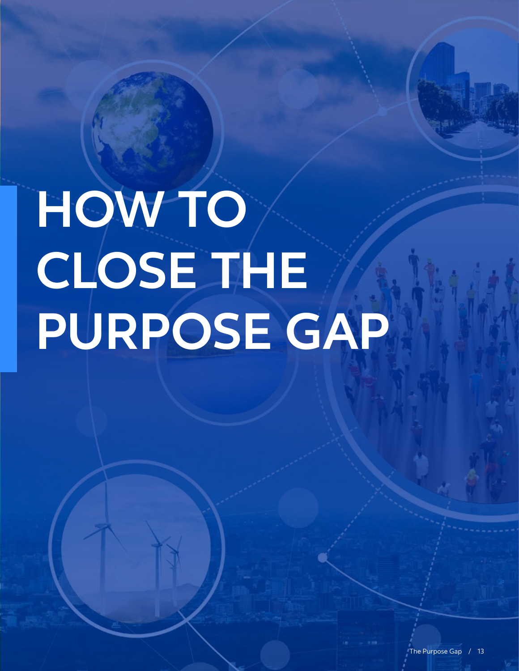# **HOW TO CLOSE THE PURPOSE GAP**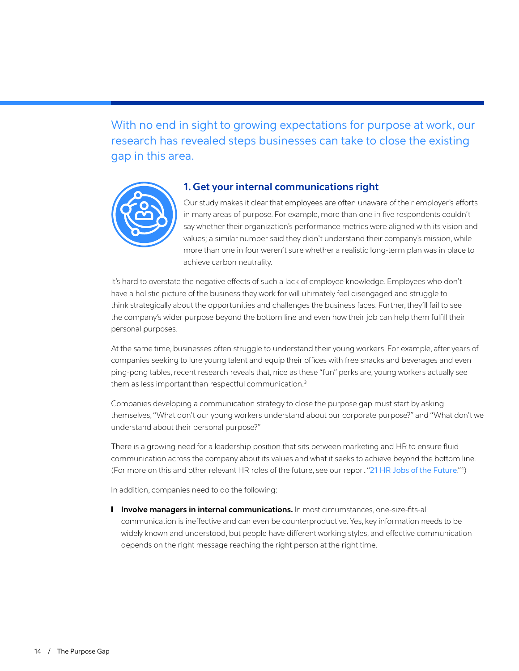With no end in sight to growing expectations for purpose at work, our research has revealed steps businesses can take to close the existing gap in this area.



### **1. Get your internal communications right**

Our study makes it clear that employees are often unaware of their employer's efforts in many areas of purpose. For example, more than one in five respondents couldn't say whether their organization's performance metrics were aligned with its vision and values; a similar number said they didn't understand their company's mission, while more than one in four weren't sure whether a realistic long-term plan was in place to achieve carbon neutrality.

It's hard to overstate the negative effects of such a lack of employee knowledge. Employees who don't have a holistic picture of the business they work for will ultimately feel disengaged and struggle to think strategically about the opportunities and challenges the business faces. Further, they'll fail to see the company's wider purpose beyond the bottom line and even how their job can help them fulfill their personal purposes.

At the same time, businesses often struggle to understand their young workers. For example, after years of companies seeking to lure young talent and equip their offices with free snacks and beverages and even ping-pong tables, recent research reveals that, nice as these "fun" perks are, young workers actually see them as less important than respectful communication.<sup>3</sup>

Companies developing a communication strategy to close the purpose gap must start by asking themselves, "What don't our young workers understand about our corporate purpose?" and "What don't we understand about their personal purpose?"

There is a growing need for a leadership position that sits between marketing and HR to ensure fluid communication across the company about its values and what it seeks to achieve beyond the bottom line. (For more on this and other relevant HR roles of the future, see our report "[21 HR Jobs of the Future](https://www.cognizant.com/us/en/whitepapers/documents/21-hr-jobs-of-the-future-codex5450.pdf)."4)

In addition, companies need to do the following:

**I** Involve managers in internal communications. In most circumstances, one-size-fits-all communication is ineffective and can even be counterproductive. Yes, key information needs to be widely known and understood, but people have different working styles, and effective communication depends on the right message reaching the right person at the right time.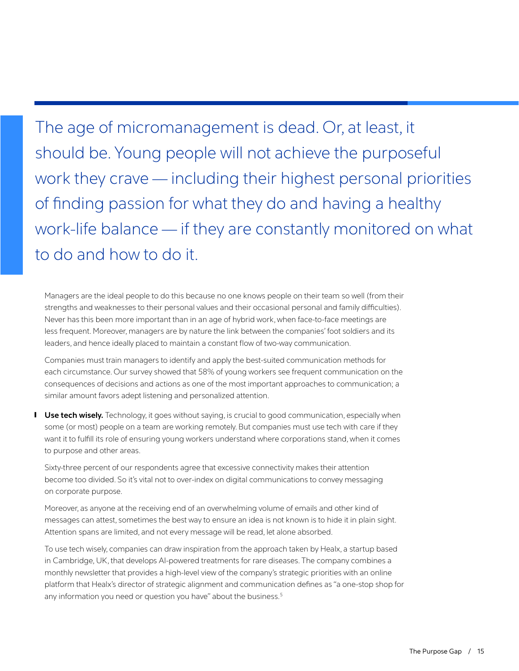The age of micromanagement is dead. Or, at least, it should be. Young people will not achieve the purposeful work they crave — including their highest personal priorities of finding passion for what they do and having a healthy work-life balance — if they are constantly monitored on what to do and how to do it.

Managers are the ideal people to do this because no one knows people on their team so well (from their strengths and weaknesses to their personal values and their occasional personal and family difficulties). Never has this been more important than in an age of hybrid work, when face-to-face meetings are less frequent. Moreover, managers are by nature the link between the companies' foot soldiers and its leaders, and hence ideally placed to maintain a constant flow of two-way communication.

Companies must train managers to identify and apply the best-suited communication methods for each circumstance. Our survey showed that 58% of young workers see frequent communication on the consequences of decisions and actions as one of the most important approaches to communication; a similar amount favors adept listening and personalized attention.

**I** Use tech wisely. Technology, it goes without saying, is crucial to good communication, especially when some (or most) people on a team are working remotely. But companies must use tech with care if they want it to fulfill its role of ensuring young workers understand where corporations stand, when it comes to purpose and other areas.

Sixty-three percent of our respondents agree that excessive connectivity makes their attention become too divided. So it's vital not to over-index on digital communications to convey messaging on corporate purpose.

Moreover, as anyone at the receiving end of an overwhelming volume of emails and other kind of messages can attest, sometimes the best way to ensure an idea is not known is to hide it in plain sight. Attention spans are limited, and not every message will be read, let alone absorbed.

To use tech wisely, companies can draw inspiration from the approach taken by Healx, a startup based in Cambridge, UK, that develops AI-powered treatments for rare diseases. The company combines a monthly newsletter that provides a high-level view of the company's strategic priorities with an online platform that Healx's director of strategic alignment and communication defines as "a one-stop shop for any information you need or question you have" about the business.<sup>5</sup>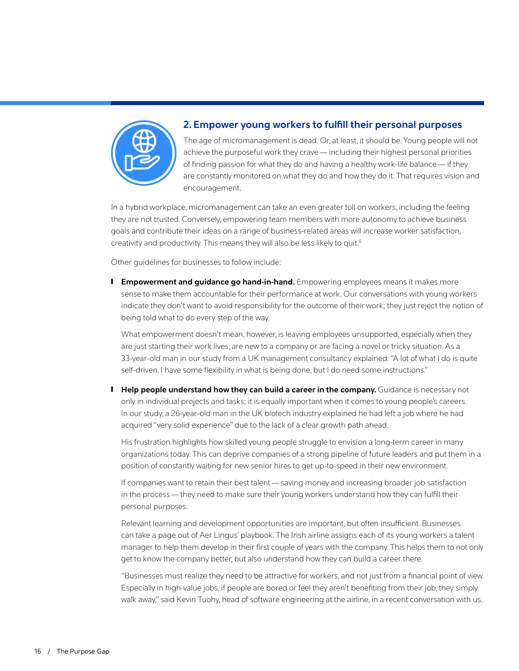

### **2. Empower young workers to fulfill their personal purposes**

The age of micromanagement is dead. Or, at least, it should be. Young people will not achieve the purposeful work they crave — including their highest personal priorities of finding passion for what they do and having a healthy work-life balance — if they are constantly monitored on what they do and how they do it. That requires vision and encouragement.

In a hybrid workplace, micromanagement can take an even greater toll on workers, including the feeling they are not trusted. Conversely, empowering team members with more autonomy to achieve business goals and contribute their ideas on a range of business-related areas will increase worker satisfaction, creativity and productivity. This means they will also be less likely to quit.6

Other guidelines for businesses to follow include:

**I** Empowerment and quidance go hand-in-hand. Empowering employees means it makes more sense to make them accountable for their performance at work. Our conversations with young workers indicate they don't want to avoid responsibility for the outcome of their work; they just reject the notion of being told what to do every step of the way.

What empowerment doesn't mean, however, is leaving employees unsupported, especially when they are just starting their work lives, are new to a company or are facing a novel or tricky situation. As a 33-year-old man in our study from a UK management consultancy explained: "A lot of what I do is quite self-driven. I have some flexibility in what is being done, but I do need some instructions."

**I** Help people understand how they can build a career in the company. Guidance is necessary not only in individual projects and tasks; it is equally important when it comes to young people's careers. In our study, a 26-year-old man in the UK biotech industry explained he had left a job where he had acquired "very solid experience" due to the lack of a clear growth path ahead.

His frustration highlights how skilled young people struggle to envision a long-term career in many organizations today. This can deprive companies of a strong pipeline of future leaders and put them in a position of constantly waiting for new senior hires to get up-to-speed in their new environment.

If companies want to retain their best talent — saving money and increasing broader job satisfaction in the process — they need to make sure their young workers understand how they can fulfill their personal purposes.

Relevant learning and development opportunities are important, but often insufficient. Businesses can take a page out of Aer Lingus' playbook. The Irish airline assigns each of its young workers a talent manager to help them develop in their first couple of years with the company. This helps them to not only get to know the company better, but also understand how they can build a career there.

"Businesses must realize they need to be attractive for workers, and not just from a financial point of view. Especially in high-value jobs, if people are bored or feel they aren't benefiting from their job, they simply walk away," said Kevin Tuohy, head of software engineering at the airline, in a recent conversation with us.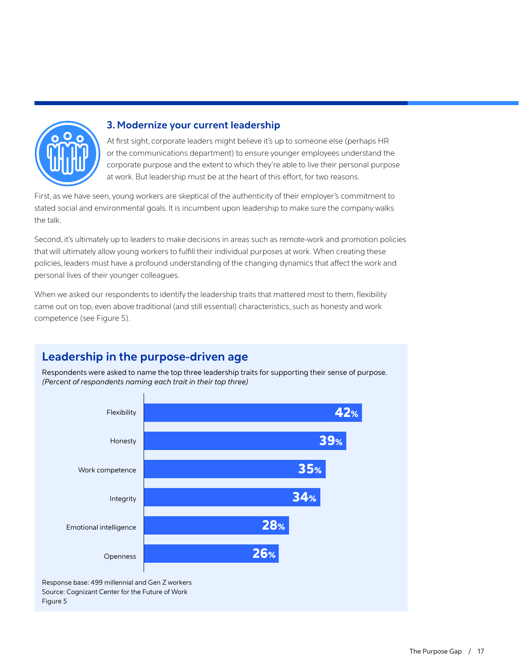

### **3. Modernize your current leadership**

At first sight, corporate leaders might believe it's up to someone else (perhaps HR or the communications department) to ensure younger employees understand the corporate purpose and the extent to which they're able to live their personal purpose at work. But leadership must be at the heart of this effort, for two reasons.

First, as we have seen, young workers are skeptical of the authenticity of their employer's commitment to stated social and environmental goals. It is incumbent upon leadership to make sure the company walks the talk.

Second, it's ultimately up to leaders to make decisions in areas such as remote-work and promotion policies that will ultimately allow young workers to fulfill their individual purposes at work. When creating these policies, leaders must have a profound understanding of the changing dynamics that affect the work and personal lives of their younger colleagues.

When we asked our respondents to identify the leadership traits that mattered most to them, flexibility came out on top, even above traditional (and still essential) characteristics, such as honesty and work competence (see Figure 5).

### **Leadership in the purpose-driven age**

Respondents were asked to name the top three leadership traits for supporting their sense of purpose. *(Percent of respondents naming each trait in their top three)*

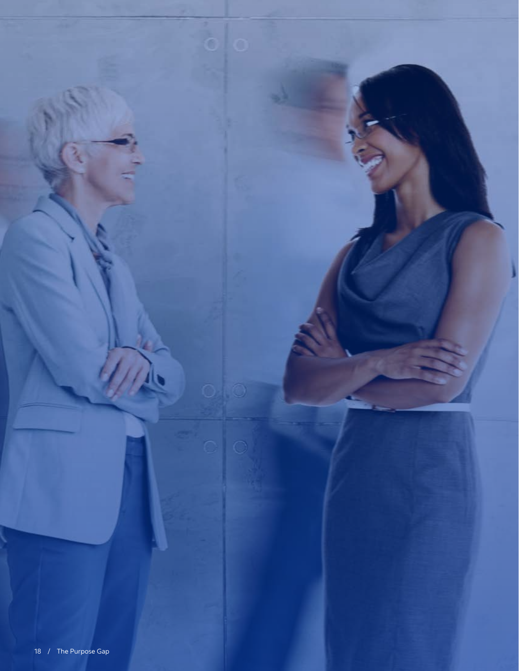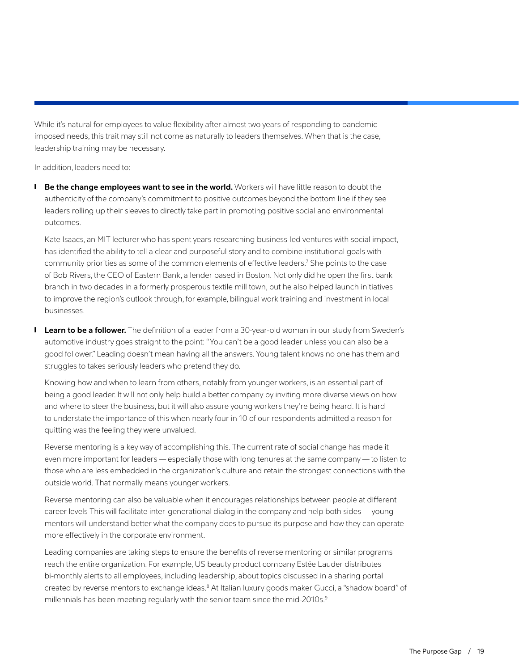While it's natural for employees to value flexibility after almost two years of responding to pandemicimposed needs, this trait may still not come as naturally to leaders themselves. When that is the case, leadership training may be necessary.

In addition, leaders need to:

**I** Be the change employees want to see in the world. Workers will have little reason to doubt the authenticity of the company's commitment to positive outcomes beyond the bottom line if they see leaders rolling up their sleeves to directly take part in promoting positive social and environmental outcomes.

Kate Isaacs, an MIT lecturer who has spent years researching business-led ventures with social impact, has identified the ability to tell a clear and purposeful story and to combine institutional goals with community priorities as some of the common elements of effective leaders.<sup>7</sup> She points to the case of Bob Rivers, the CEO of Eastern Bank, a lender based in Boston. Not only did he open the first bank branch in two decades in a formerly prosperous textile mill town, but he also helped launch initiatives to improve the region's outlook through, for example, bilingual work training and investment in local businesses.

**I** Learn to be a follower. The definition of a leader from a 30-year-old woman in our study from Sweden's automotive industry goes straight to the point: "You can't be a good leader unless you can also be a good follower." Leading doesn't mean having all the answers. Young talent knows no one has them and struggles to takes seriously leaders who pretend they do.

Knowing how and when to learn from others, notably from younger workers, is an essential part of being a good leader. It will not only help build a better company by inviting more diverse views on how and where to steer the business, but it will also assure young workers they're being heard. It is hard to understate the importance of this when nearly four in 10 of our respondents admitted a reason for quitting was the feeling they were unvalued.

Reverse mentoring is a key way of accomplishing this. The current rate of social change has made it even more important for leaders — especially those with long tenures at the same company — to listen to those who are less embedded in the organization's culture and retain the strongest connections with the outside world. That normally means younger workers.

Reverse mentoring can also be valuable when it encourages relationships between people at different career levels This will facilitate inter-generational dialog in the company and help both sides — young mentors will understand better what the company does to pursue its purpose and how they can operate more effectively in the corporate environment.

Leading companies are taking steps to ensure the benefits of reverse mentoring or similar programs reach the entire organization. For example, US beauty product company Estée Lauder distributes bi-monthly alerts to all employees, including leadership, about topics discussed in a sharing portal created by reverse mentors to exchange ideas.<sup>8</sup> At Italian luxury goods maker Gucci, a "shadow board" of millennials has been meeting regularly with the senior team since the mid-2010s.<sup>9</sup>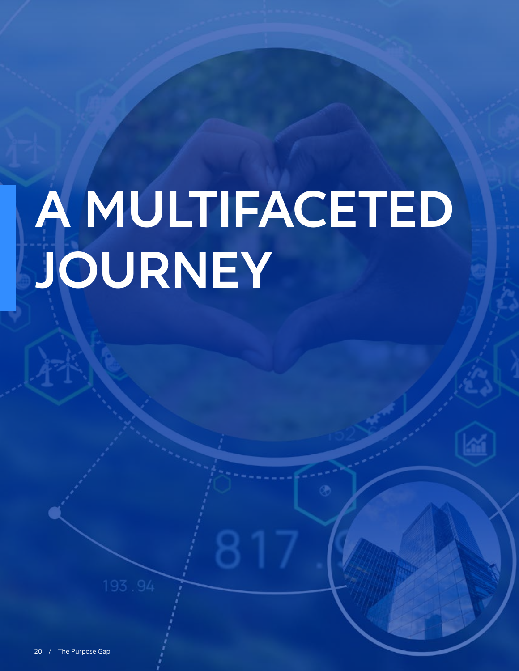# **A MULTIFACETED JOURNEY**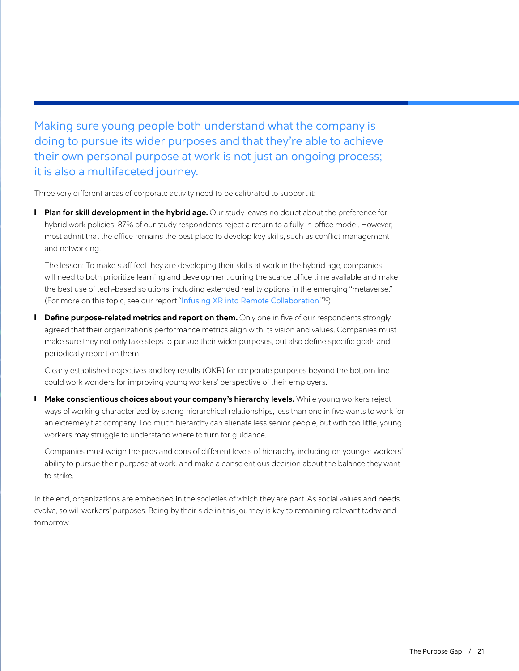Making sure young people both understand what the company is doing to pursue its wider purposes and that they're able to achieve their own personal purpose at work is not just an ongoing process; it is also a multifaceted journey.

Three very different areas of corporate activity need to be calibrated to support it:

**I** Plan for skill development in the hybrid age. Our study leaves no doubt about the preference for hybrid work policies: 87% of our study respondents reject a return to a fully in-office model. However, most admit that the office remains the best place to develop key skills, such as conflict management and networking.

The lesson: To make staff feel they are developing their skills at work in the hybrid age, companies will need to both prioritize learning and development during the scarce office time available and make the best use of tech-based solutions, including extended reality options in the emerging "metaverse." (For more on this topic, see our report "[Infusing XR into Remote Collaboration](https://www.cognizant.com/futureofwork/whitepaper/infusing-xr-into-remote-collaboration)."10)

**I** Define purpose-related metrics and report on them. Only one in five of our respondents strongly agreed that their organization's performance metrics align with its vision and values. Companies must make sure they not only take steps to pursue their wider purposes, but also define specific goals and periodically report on them.

Clearly established objectives and key results (OKR) for corporate purposes beyond the bottom line could work wonders for improving young workers' perspective of their employers.

**I** Make conscientious choices about your company's hierarchy levels. While young workers reject ways of working characterized by strong hierarchical relationships, less than one in five wants to work for an extremely flat company. Too much hierarchy can alienate less senior people, but with too little, young workers may struggle to understand where to turn for guidance.

Companies must weigh the pros and cons of different levels of hierarchy, including on younger workers' ability to pursue their purpose at work, and make a conscientious decision about the balance they want to strike.

In the end, organizations are embedded in the societies of which they are part. As social values and needs evolve, so will workers' purposes. Being by their side in this journey is key to remaining relevant today and tomorrow.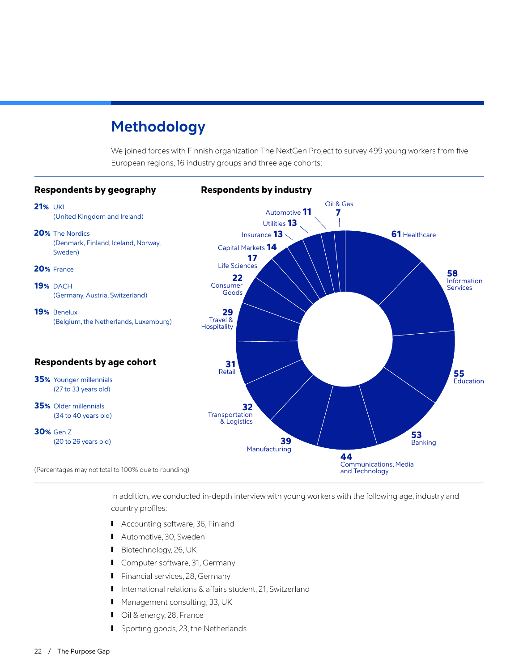# **Methodology**

We joined forces with Finnish organization The NextGen Project to survey 499 young workers from five European regions, 16 industry groups and three age cohorts:



In addition, we conducted in-depth interview with young workers with the following age, industry and country profiles:

- Accounting software, 36, Finland
- **I** Automotive, 30, Sweden
- **I** Biotechnology, 26, UK
- **I** Computer software, 31, Germany
- **I** Financial services, 28, Germany
- International relations & affairs student, 21, Switzerland
- **I** Management consulting, 33, UK
- **I** Oil & energy, 28, France
- **I** Sporting goods, 23, the Netherlands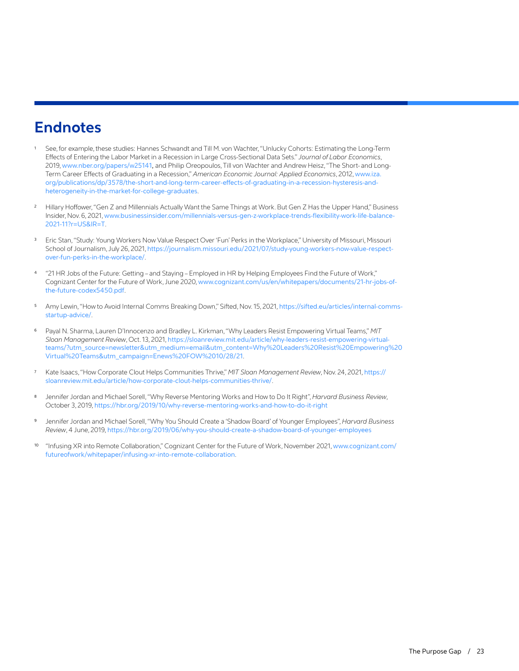## **Endnotes**

- See, for example, these studies: Hannes Schwandt and Till M. von Wachter, "Unlucky Cohorts: Estimating the Long-Term Effects of Entering the Labor Market in a Recession in Large Cross-Sectional Data Sets." *Journal of Labor Economics*, 2019, [www.nber.org/papers/w25141](https://www.nber.org/papers/w25141), and Philip Oreopoulos, Till von Wachter and Andrew Heisz, "The Short- and Long-Term Career Effects of Graduating in a Recession," *American Economic Journal: Applied Economics*, 2012, [www.iza.](https://www.iza.org/publications/dp/3578/the-short-and-long-term-career-effects-of-graduating-in-a-recession-hysteresis-and-heterogeneity-in-the-market-for-college-graduates) [org/publications/dp/3578/the-short-and-long-term-career-effects-of-graduating-in-a-recession-hysteresis-and](https://www.iza.org/publications/dp/3578/the-short-and-long-term-career-effects-of-graduating-in-a-recession-hysteresis-and-heterogeneity-in-the-market-for-college-graduates)[heterogeneity-in-the-market-for-college-graduates](https://www.iza.org/publications/dp/3578/the-short-and-long-term-career-effects-of-graduating-in-a-recession-hysteresis-and-heterogeneity-in-the-market-for-college-graduates).
- <sup>2</sup> Hillary Hoffower, "Gen Z and Millennials Actually Want the Same Things at Work. But Gen Z Has the Upper Hand," Business Insider, Nov. 6, 2021, [www.businessinsider.com/millennials-versus-gen-z-workplace-trends-flexibility-work-life-balance-](https://www.businessinsider.com/millennials-versus-gen-z-workplace-trends-flexibility-work-life-balance-2021-11?r=US&IR=T)[2021-11?r=US&IR=T](https://www.businessinsider.com/millennials-versus-gen-z-workplace-trends-flexibility-work-life-balance-2021-11?r=US&IR=T).
- <sup>3</sup> Eric Stan, "Study: Young Workers Now Value Respect Over 'Fun' Perks in the Workplace," University of Missouri, Missouri School of Journalism, July 26, 2021, [https://journalism.missouri.edu/2021/07/study-young-workers-now-value-respect](https://journalism.missouri.edu/2021/07/study-young-workers-now-value-respect-over-fun-perks-in-the-workplace/)[over-fun-perks-in-the-workplace/](https://journalism.missouri.edu/2021/07/study-young-workers-now-value-respect-over-fun-perks-in-the-workplace/).
- <sup>4</sup> "21 HR Jobs of the Future: Getting and Staying Employed in HR by Helping Employees Find the Future of Work," Cognizant Center for the Future of Work, June 2020, [www.cognizant.com/us/en/whitepapers/documents/21-hr-jobs-of](https://www.cognizant.com/us/en/whitepapers/documents/21-hr-jobs-of-the-future-codex5450.pdf)[the-future-codex5450.pdf](https://www.cognizant.com/us/en/whitepapers/documents/21-hr-jobs-of-the-future-codex5450.pdf).
- <sup>5</sup> Amy Lewin, "How to Avoid Internal Comms Breaking Down," Sifted, Nov. 15, 2021, [https://sifted.eu/articles/internal-comms](https://sifted.eu/articles/internal-comms-startup-advice/)[startup-advice/](https://sifted.eu/articles/internal-comms-startup-advice/).
- <sup>6</sup> Payal N. Sharma, Lauren D'Innocenzo and Bradley L. Kirkman, "Why Leaders Resist Empowering Virtual Teams," *MIT Sloan Management Review*, Oct. 13, 2021, [https://sloanreview.mit.edu/article/why-leaders-resist-empowering-virtual](https://sloanreview.mit.edu/article/why-leaders-resist-empowering-virtual-teams/?utm_source=newsletter&utm_medium=email&utm_content=Why%20Leaders%20Resist%20Empowering%20Virtual%20Teams&utm_campaign=Enews%20FOW%2010/28/21)[teams/?utm\\_source=newsletter&utm\\_medium=email&utm\\_content=Why%20Leaders%20Resist%20Empowering%20](https://sloanreview.mit.edu/article/why-leaders-resist-empowering-virtual-teams/?utm_source=newsletter&utm_medium=email&utm_content=Why%20Leaders%20Resist%20Empowering%20Virtual%20Teams&utm_campaign=Enews%20FOW%2010/28/21) [Virtual%20Teams&utm\\_campaign=Enews%20FOW%2010/28/21](https://sloanreview.mit.edu/article/why-leaders-resist-empowering-virtual-teams/?utm_source=newsletter&utm_medium=email&utm_content=Why%20Leaders%20Resist%20Empowering%20Virtual%20Teams&utm_campaign=Enews%20FOW%2010/28/21).
- <sup>7</sup> Kate Isaacs, "How Corporate Clout Helps Communities Thrive," *MIT Sloan Management Review*, Nov. 24, 2021, [https://](https://sloanreview.mit.edu/article/how-corporate-clout-helps-communities-thrive/) [sloanreview.mit.edu/article/how-corporate-clout-helps-communities-thrive/](https://sloanreview.mit.edu/article/how-corporate-clout-helps-communities-thrive/).
- <sup>8</sup> Jennifer Jordan and Michael Sorell, "Why Reverse Mentoring Works and How to Do It Right", *Harvard Business Review*, October 3, 2019, <https://hbr.org/2019/10/why-reverse-mentoring-works-and-how-to-do-it-right>
- <sup>9</sup> Jennifer Jordan and Michael Sorell, "Why You Should Create a 'Shadow Board' of Younger Employees", *Harvard Business Review*, 4 June, 2019, <https://hbr.org/2019/06/why-you-should-create-a-shadow-board-of-younger-employees>
- "Infusing XR into Remote Collaboration," Cognizant Center for the Future of Work, November 2021, [www.cognizant.com/](https://www.cognizant.com/futureofwork/whitepaper/infusing-xr-into-remote-collaboration) [futureofwork/whitepaper/infusing-xr-into-remote-collaboration](https://www.cognizant.com/futureofwork/whitepaper/infusing-xr-into-remote-collaboration).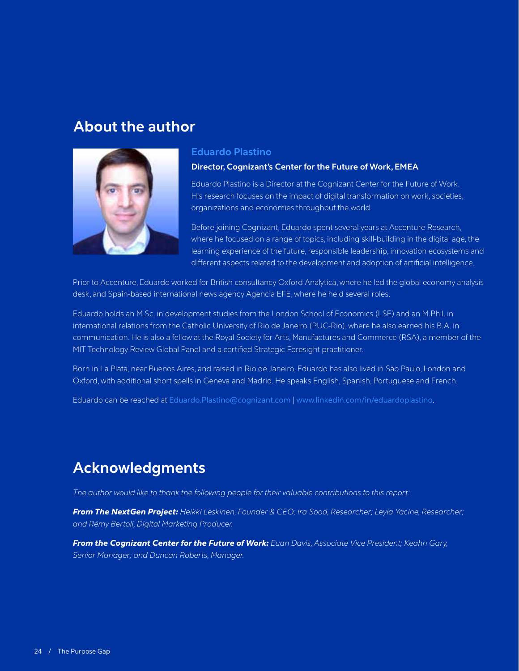### **About the author**



### **Eduardo Plastino**

### **Director, Cognizant's Center for the Future of Work, EMEA**

Eduardo Plastino is a Director at the Cognizant Center for the Future of Work. His research focuses on the impact of digital transformation on work, societies, organizations and economies throughout the world.

Before joining Cognizant, Eduardo spent several years at Accenture Research, where he focused on a range of topics, including skill-building in the digital age, the learning experience of the future, responsible leadership, innovation ecosystems and different aspects related to the development and adoption of artificial intelligence.

Prior to Accenture, Eduardo worked for British consultancy Oxford Analytica, where he led the global economy analysis desk, and Spain-based international news agency Agencia EFE, where he held several roles.

Eduardo holds an M.Sc. in development studies from the London School of Economics (LSE) and an M.Phil. in international relations from the Catholic University of Rio de Janeiro (PUC-Rio), where he also earned his B.A. in communication. He is also a fellow at the Royal Society for Arts, Manufactures and Commerce (RSA), a member of the MIT Technology Review Global Panel and a certified Strategic Foresight practitioner.

Born in La Plata, near Buenos Aires, and raised in Rio de Janeiro, Eduardo has also lived in São Paulo, London and Oxford, with additional short spells in Geneva and Madrid. He speaks English, Spanish, Portuguese and French.

Eduardo can be reached at [Eduardo.Plastino@cognizant.com](mailto:Eduardo.Plastino%40cognizant.com?subject=) | [www.linkedin.com/in/eduardoplastino](https://www.linkedin.com/in/eduardoplastino).

## **Acknowledgments**

*The author would like to thank the following people for their valuable contributions to this report:*

*From The NextGen Project: Heikki Leskinen, Founder & CEO; Ira Sood, Researcher; Leyla Yacine, Researcher; and Rémy Bertoli, Digital Marketing Producer.*

*From the Cognizant Center for the Future of Work: Euan Davis, Associate Vice President; Keahn Gary, Senior Manager; and Duncan Roberts, Manager.*